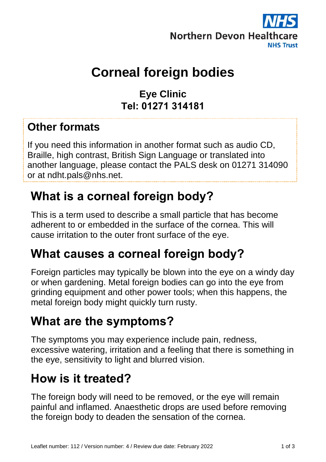

# **Corneal foreign bodies**

**Eye Clinic Tel: 01271 314181**

#### **Other formats**

If you need this information in another format such as audio CD, Braille, high contrast, British Sign Language or translated into another language, please contact the PALS desk on 01271 314090 or at ndht.pals@nhs.net.

#### **What is a corneal foreign body?**

This is a term used to describe a small particle that has become adherent to or embedded in the surface of the cornea. This will cause irritation to the outer front surface of the eye.

#### **What causes a corneal foreign body?**

Foreign particles may typically be blown into the eye on a windy day or when gardening. Metal foreign bodies can go into the eye from grinding equipment and other power tools; when this happens, the metal foreign body might quickly turn rusty.

#### **What are the symptoms?**

The symptoms you may experience include pain, redness, excessive watering, irritation and a feeling that there is something in the eye, sensitivity to light and blurred vision.

### **How is it treated?**

The foreign body will need to be removed, or the eye will remain painful and inflamed. Anaesthetic drops are used before removing the foreign body to deaden the sensation of the cornea.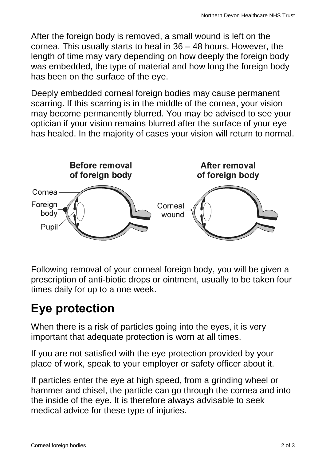After the foreign body is removed, a small wound is left on the cornea. This usually starts to heal in 36 – 48 hours. However, the length of time may vary depending on how deeply the foreign body was embedded, the type of material and how long the foreign body has been on the surface of the eye.

Deeply embedded corneal foreign bodies may cause permanent scarring. If this scarring is in the middle of the cornea, your vision may become permanently blurred. You may be advised to see your optician if your vision remains blurred after the surface of your eye has healed. In the majority of cases your vision will return to normal.



Following removal of your corneal foreign body, you will be given a prescription of anti-biotic drops or ointment, usually to be taken four times daily for up to a one week.

# **Eye protection**

When there is a risk of particles going into the eyes, it is very important that adequate protection is worn at all times.

If you are not satisfied with the eye protection provided by your place of work, speak to your employer or safety officer about it.

If particles enter the eye at high speed, from a grinding wheel or hammer and chisel, the particle can go through the cornea and into the inside of the eye. It is therefore always advisable to seek medical advice for these type of injuries.